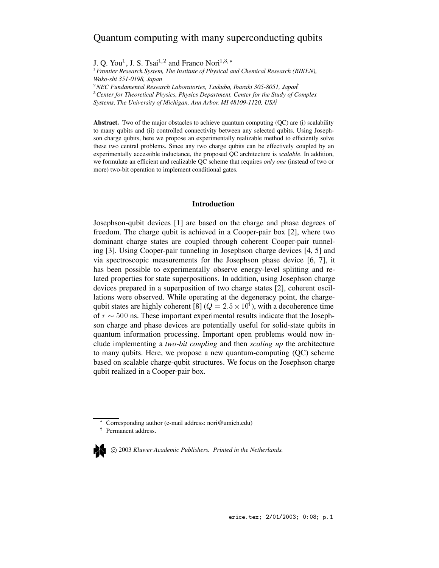# Quantum computing with many superconducting qubits

J. Q. You<sup>1</sup>, J. S. Tsai<sup>1,2</sup> and Franco Nori<sup>1,3,\*</sup>

 *Frontier Research System, The Institute of Physical and Chemical Research (RIKEN), Wako-shi 351-0198, Japan*

<sup>2</sup>NEC Fundamental Research Laboratories, Tsukuba, Ibaraki 305-8051, Japan<sup>†</sup>

<sup>3</sup> Center for Theoretical Physics, Physics Department, Center for the Study of Complex

*Systems, The University of Michigan, Ann Arbor, MI 48109-1120, USA<sup>†</sup>* 

Abstract. Two of the major obstacles to achieve quantum computing (QC) are (i) scalability to many qubits and (ii) controlled connectivity between any selected qubits. Using Josephson charge qubits, here we propose an experimentally realizable method to efficiently solve these two central problems. Since any two charge qubits can be effectively coupled by an experimentally accessible inductance, the proposed QC architecture is *scalable*. In addition, we formulate an efficient and realizable QC scheme that requires *only one* (instead of two or more) two-bit operation to implement conditional gates.

### **Introduction**

Josephson-qubit devices [1] are based on the charge and phase degrees of freedom. The charge qubit is achieved in a Cooper-pair box [2], where two dominant charge states are coupled through coherent Cooper-pair tunneling [3]. Using Cooper-pair tunneling in Josephson charge devices [4, 5] and via spectroscopic measurements for the Josephson phase device [6, 7], it has been possible to experimentally observe energy-level splitting and related properties for state superpositions. In addition, using Josephson charge devices prepared in a superposition of two charge states [2], coherent oscillations were observed. While operating at the degeneracy point, the chargequbit states are highly coherent [8] ( $Q = 2.5 \times 10^4$ ), with a decoherence time of  $\tau \sim 500$  ns. These important experimental results indicate that the Josephson charge and phase devices are potentially useful for solid-state qubits in quantum information processing. Important open problems would now include implementing a *two-bit coupling* and then *scaling up* the architecture to many qubits. Here, we propose a new quantum-computing (QC) scheme based on scalable charge-qubit structures. We focus on the Josephson charge qubit realized in a Cooper-pair box.

Corresponding author (e-mail address: nori@umich.edu)

c 2003 *Kluwer Academic Publishers. Printed in the Netherlands.*

<sup>&</sup>lt;sup>†</sup> Permanent address.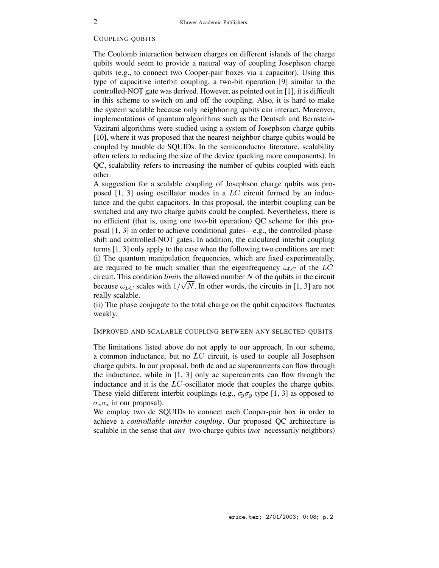### COUPLING QUBITS

The Coulomb interaction between charges on different islands of the charge qubits would seem to provide a natural way of coupling Josephson charge qubits (e.g., to connect two Cooper-pair boxes via a capacitor). Using this type of capacitive interbit coupling, a two-bit operation [9] similar to the controlled-NOT gate was derived. However, as pointed out in [1], it is difficult in this scheme to switch on and off the coupling. Also, it is hard to make the system scalable because only neighboring qubits can interact. Moreover, implementations of quantum algorithms such as the Deutsch and Bernstein-Vazirani algorithms were studied using a system of Josephson charge qubits [10], where it was proposed that the nearest-neighbor charge qubits would be coupled by tunable dc SQUIDs. In the semiconductor literature, scalability often refers to reducing the size of the device (packing more components). In QC, scalability refers to increasing the number of qubits coupled with each other.

A suggestion for a scalable coupling of Josephson charge qubits was proposed  $[1, 3]$  using oscillator modes in a  $LC$  circuit formed by an inductance and the qubit capacitors. In this proposal, the interbit coupling can be switched and any two charge qubits could be coupled. Nevertheless, there is no efficient (that is, using one two-bit operation) QC scheme for this proposal [1, 3] in order to achieve conditional gates—e.g., the controlled-phaseshift and controlled-NOT gates. In addition, the calculated interbit coupling terms [1, 3] only apply to the case when the following two conditions are met: (i) The quantum manipulation frequencies, which are fixed experimentally, are required to be much smaller than the eigenfrequency  $\omega_{LC}$  of the  $LC$ circuit. This condition *limits* the allowed number N of the qubits in the circuit because  $\omega_{LC}$  scales with  $1/\sqrt{N}$ . In other words, the circuits in [1, 3] are not really scalable.

(ii) The phase conjugate to the total charge on the qubit capacitors fluctuates weakly.

## IMPROVED AND SCALABLE COUPLING BETWEEN ANY SELECTED QUBITS

The limitations listed above do not apply to our approach. In our scheme, a common inductance, but no LC circuit, is used to couple all Josephson charge qubits. In our proposal, both dc and ac supercurrents can flow through the inductance, while in [1, 3] only ac supercurrents can flow through the inductance and it is the  $LC$ -oscillator mode that couples the charge qubits. These yield different interbit couplings (e.g.,  $\sigma_y \sigma_y$  type [1, 3] as opposed to  $\sigma_x \sigma_x$  in our proposal).

We employ two dc SQUIDs to connect each Cooper-pair box in order to achieve a *controllable interbit coupling*. Our proposed QC architecture is scalable in the sense that *any* two charge qubits (*not* necessarily neighbors)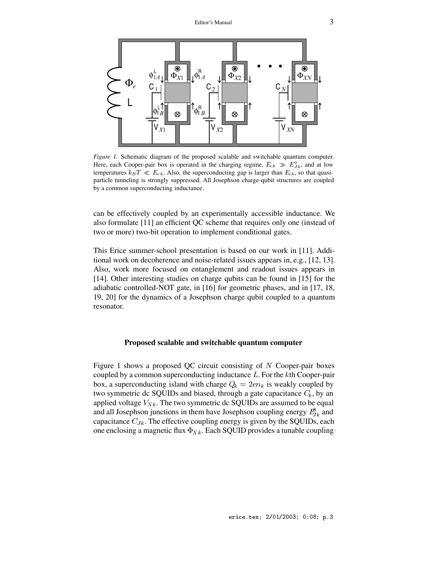

*Figure 1.* Schematic diagram of the proposed scalable and switchable quantum computer. Here, each Cooper-pair box is operated in the charging regime,  $E_{ck} \gg E_{Jk}^0$ , and at low temperatures  $k_B T \ll E_{ck}$ . Also, the superconducting gap is larger than  $E_{ck}$ , so that quasiparticle tunneling is strongly suppressed. All Josephson charge-qubit structures are coupled by a common superconducting inductance.

can be effectively coupled by an experimentally accessible inductance. We also formulate [11] an efficient QC scheme that requires only one (instead of two or more) two-bit operation to implement conditional gates.

This Erice summer-school presentation is based on our work in [11]. Additional work on decoherence and noise-related issues appears in, e.g., [12, 13]. Also, work more focused on entanglement and readout issues appears in [14]. Other interesting studies on charge qubits can be found in [15] for the adiabatic controlled-NOT gate, in [16] for geometric phases, and in [17, 18, 19, 20] for the dynamics of a Josephson charge qubit coupled to a quantum resonator.

### **Proposed scalable and switchable quantum computer**

Figure 1 shows a proposed QC circuit consisting of  $N$  Cooper-pair boxes coupled by a common superconducting inductance <sup>L</sup>. For the <sup>k</sup>th Cooper-pair box, a superconducting island with charge  $Q_k = 2en_k$  is weakly coupled by two symmetric dc SQUIDs and biased, through a gate capacitance  $C_k$ , by an applied voltage  $V_{Xk}$ . The two symmetric dc SQUIDs are assumed to be equal and all Josephson junctions in them have Josephson coupling energy  $E_{Jk}^{\theta}$  and capacitance  $C_{Jk}$ . The effective coupling energy is given by the SQUIDs, each one enclosing a magnetic flux  $\Phi_{Xk}$ . Each SQUID provides a tunable coupling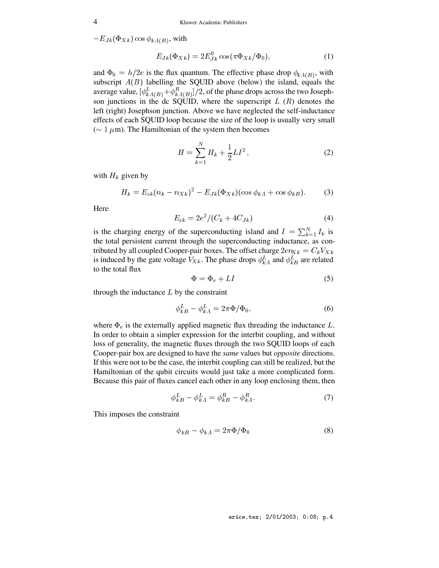$-E_{Jk}(\Phi_{Xk})\cos\phi_{kA(B)},$  with

$$
E_{Jk}(\Phi_{Xk}) = 2E_{Jk}^{0} \cos(\pi \Phi_{Xk}/\Phi_{0}), \qquad (1)
$$

and  $\Phi_0 = h/2e$  is the flux quantum. The effective phase drop  $\phi_{kA(B)}$ , with subscript  $A(B)$  labelling the SQUID above (below) the island, equals the average value,  $[\phi^L_{kA(B)} + \phi^R_{kA(B)}]/2$ , of the phase drops across the two Josephson junctions in the dc SQUID, where the superscript  $L(R)$  denotes the left (right) Josephson junction. Above we have neglected the self-inductance effects of each SQUID loop because the size of the loop is usually very small ( $\sim 1 \mu$ m). The Hamiltonian of the system then becomes

$$
H = \sum_{k=1}^{N} H_k + \frac{1}{2} L I^2 , \qquad (2)
$$

with  $H_k$  given by

$$
H_k = E_{ck}(n_k - n_{Xk})^2 - E_{Jk}(\Phi_{Xk})(\cos \phi_{kA} + \cos \phi_{kB}).
$$
 (3)

Here

$$
E_{ck} = 2e^2/(C_k + 4C_{Jk})
$$
\n(4)

is the charging energy of the superconducting island and  $I = \sum_{k=1}^{N} I_k$  is the total persistent current through the superconducting inductance, as contributed by all coupled Cooper-pair boxes. The offset charge  $2en_{Xk} = C_kV_{Xk}$ is induced by the gate voltage  $V_{Xk}$ . The phase drops  $\phi_{kA}^{L}$  and  $\phi_{kB}^{L}$  are related to the total flux

$$
\Phi = \Phi_e + LI \tag{5}
$$

through the inductance  $L$  by the constraint

$$
\phi_{kB}^L - \phi_{kA}^L = 2\pi \Phi / \Phi_0,\tag{6}
$$

where  $\Phi_e$  is the externally applied magnetic flux threading the inductance L. In order to obtain a simpler expression for the interbit coupling, and without loss of generality, the magnetic fluxes through the two SQUID loops of each Cooper-pair box are designed to have the *same* values but *opposite* directions. If this were not to be the case, the interbit coupling can still be realized, but the Hamiltonian of the qubit circuits would just take a more complicated form. Because this pair of fluxes cancel each other in any loop enclosing them, then

$$
\phi_{kB}^L - \phi_{kA}^L = \phi_{kB}^R - \phi_{kA}^R. \tag{7}
$$

This imposes the constraint

$$
\phi_{kB} - \phi_{kA} = 2\pi \Phi / \Phi_0 \tag{8}
$$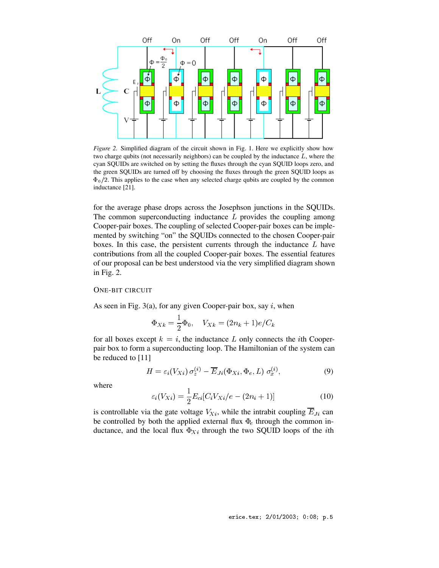

*Figure 2.* Simplified diagram of the circuit shown in Fig. 1. Here we explicitly show how two charge qubits (not necessarily neighbors) can be coupled by the inductance  $L$ , where the cyan SQUIDs are switched on by setting the fluxes through the cyan SQUID loops zero, and the green SQUIDs are turned off by choosing the fluxes through the green SQUID loops as  $\Phi_0/2$ . This applies to the case when any selected charge qubits are coupled by the common inductance [21].

for the average phase drops across the Josephson junctions in the SQUIDs. The common superconducting inductance  $L$  provides the coupling among Cooper-pair boxes. The coupling of selected Cooper-pair boxes can be implemented by switching "on" the SQUIDs connected to the chosen Cooper-pair boxes. In this case, the persistent currents through the inductance  $L$  have contributions from all the coupled Cooper-pair boxes. The essential features of our proposal can be best understood via the very simplified diagram shown in Fig. 2.

### ONE-BIT CIRCUIT

As seen in Fig. 3(a), for any given Cooper-pair box, say  $i$ , when

$$
\Phi_{Xk} = \frac{1}{2}\Phi_0, \quad V_{Xk} = (2n_k + 1)e/C_k
$$

for all boxes except  $k = i$ , the inductance L only connects the *i*th Cooperpair box to form a superconducting loop. The Hamiltonian of the system can be reduced to [11]

$$
H = \varepsilon_i(V_{Xi}) \sigma_z^{(i)} - \overline{E}_{Ji}(\Phi_{Xi}, \Phi_e, L) \sigma_x^{(i)},
$$
\n(9)

where

$$
\varepsilon_i(V_{Xi}) = \frac{1}{2} E_{ci} [C_i V_{Xi}/e - (2n_i + 1)] \tag{10}
$$

is controllable via the gate voltage  $V_{Xi}$ , while the intrabit coupling  $\overline{E}_{J_i}$  can be controlled by both the applied external flux  $\Phi$ <sub>e</sub> through the common inductance, and the local flux  $\Phi_{Xi}$  through the two SQUID loops of the *i*th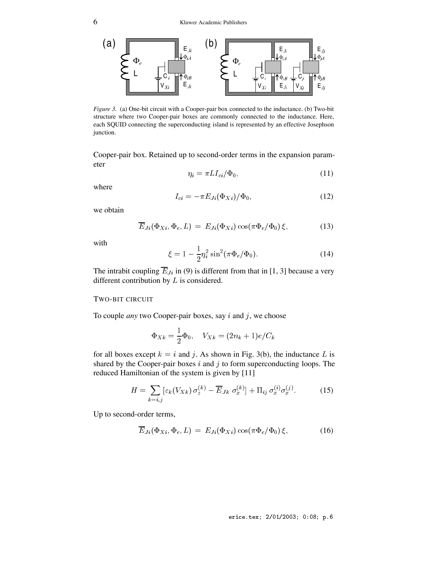

*Figure 3.* (a) One-bit circuit with a Cooper-pair box connected to the inductance. (b) Two-bit structure where two Cooper-pair boxes are commonly connected to the inductance. Here, each SQUID connecting the superconducting island is represented by an effective Josephson junction.

Cooper-pair box. Retained up to second-order terms in the expansion parameter

$$
\eta_i = \pi L I_{ci} / \Phi_0,\tag{11}
$$

where

$$
I_{ci} = -\pi E_{Ji}(\Phi_{Xi})/\Phi_0, \qquad (12)
$$

we obtain

$$
\overline{E}_{Ji}(\Phi_{Xi}, \Phi_e, L) = E_{Ji}(\Phi_{Xi}) \cos(\pi \Phi_e / \Phi_0) \xi, \qquad (13)
$$

with

$$
\xi = 1 - \frac{1}{2} \eta_i^2 \sin^2(\pi \Phi_e / \Phi_0).
$$
 (14)

The intrabit coupling  $\overline{E}_{J_i}$  in (9) is different from that in [1, 3] because a very different contribution by  $L$  is considered.

### TWO-BIT CIRCUIT

To couple *any* two Cooper-pair boxes, say i and j, we choose

$$
\Phi_{Xk}=\frac{1}{2}\Phi_0,\quad V_{Xk}=(2n_k+1)e/C_k
$$

for all boxes except  $k = i$  and j. As shown in Fig. 3(b), the inductance L is shared by the Cooper-pair boxes  $i$  and  $j$  to form superconducting loops. The reduced Hamiltonian of the system is given by [11]

$$
H = \sum_{k=i,j} \left[ \varepsilon_k (V_{Xk}) \, \sigma_z^{(k)} - \overline{E}_{Jk} \, \sigma_x^{(k)} \right] + \Pi_{ij} \, \sigma_x^{(i)} \sigma_x^{(j)}.
$$
 (15)

Up to second-order terms,

$$
\overline{E}_{J_i}(\Phi_{Xi}, \Phi_e, L) = E_{J_i}(\Phi_{Xi}) \cos(\pi \Phi_e / \Phi_0) \xi, \qquad (16)
$$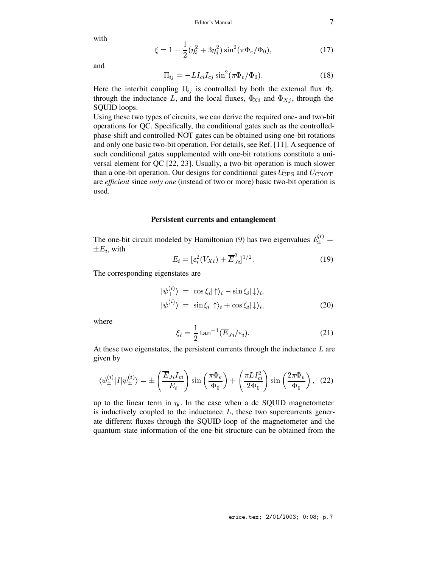with

$$
\xi = 1 - \frac{1}{2} (\eta_i^2 + 3\eta_j^2) \sin^2(\pi \Phi_e / \Phi_0), \tag{17}
$$

and

$$
\Pi_{ij} = -LI_{ci}I_{cj}\sin^2(\pi\Phi_e/\Phi_0). \tag{18}
$$

Here the interbit coupling  $\Pi_{ij}$  is controlled by both the external flux  $\Phi_e$ through the inductance L, and the local fluxes,  $\Phi_{Xi}$  and  $\Phi_{Xi}$ , through the SQUID loops.

Using these two types of circuits, we can derive the required one- and two-bit operations for QC. Specifically, the conditional gates such as the controlledphase-shift and controlled-NOT gates can be obtained using one-bit rotations and only one basic two-bit operation. For details, see Ref. [11]. A sequence of such conditional gates supplemented with one-bit rotations constitute a universal element for QC [22, 23]. Usually, a two-bit operation is much slower than a one-bit operation. Our designs for conditional gates  $U_{\text{CPS}}$  and  $U_{\text{CNOT}}$ are *efficient* since *only one* (instead of two or more) basic two-bit operation is used.

### **Persistent currents and entanglement**

The one-bit circuit modeled by Hamiltonian (9) has two eigenvalues  $E_{+}^{(i)} =$  $\pm E_i$ , with

$$
E_i = [\varepsilon_i^2 (V_{Xi}) + \overline{E}_{Ji}^2]^{1/2}.
$$
 (19)

The corresponding eigenstates are

$$
\begin{aligned}\n|\psi_{+}^{(i)}\rangle &= \cos\xi_{i}|\uparrow\rangle_{i} - \sin\xi_{i}|\downarrow\rangle_{i}, \\
|\psi_{-}^{(i)}\rangle &= \sin\xi_{i}|\uparrow\rangle_{i} + \cos\xi_{i}|\downarrow\rangle_{i},\n\end{aligned} \tag{20}
$$

where

$$
\xi_i = \frac{1}{2} \tan^{-1} (\overline{E}_{Ji}/\varepsilon_i). \tag{21}
$$

At these two eigenstates, the persistent currents through the inductance  $L$  are given by

$$
\langle \psi_{\pm}^{(i)} | I | \psi_{\pm}^{(i)} \rangle = \pm \left( \frac{\overline{E}_{Ji} I_{ci}}{E_i} \right) \sin \left( \frac{\pi \Phi_e}{\Phi_0} \right) + \left( \frac{\pi L I_{ci}^2}{2 \Phi_0} \right) \sin \left( \frac{2 \pi \Phi_e}{\Phi_0} \right), \tag{22}
$$

up to the linear term in  $\eta_i$ . In the case when a dc SQUID magnetometer is inductively coupled to the inductance  $L$ , these two supercurrents generate different fluxes through the SQUID loop of the magnetometer and the quantum-state information of the one-bit structure can be obtained from the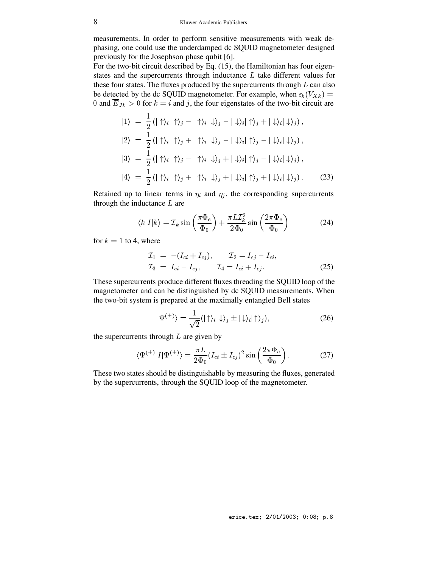measurements. In order to perform sensitive measurements with weak dephasing, one could use the underdamped dc SQUID magnetometer designed previously for the Josephson phase qubit [6].

For the two-bit circuit described by Eq. (15), the Hamiltonian has four eigenstates and the supercurrents through inductance  $L$  take different values for these four states. The fluxes produced by the supercurrents through  $L$  can also be detected by the dc SQUID magnetometer. For example, when  $\varepsilon_k(V_{X_k}) =$ 0 and  $\overline{E}_{Jk} > 0$  for  $k = i$  and j, the four eigenstates of the two-bit circuit are

$$
|1\rangle = \frac{1}{2} (|\uparrow\rangle_i |\uparrow\rangle_j - |\uparrow\rangle_i |\downarrow\rangle_j - |\downarrow\rangle_i |\uparrow\rangle_j + |\downarrow\rangle_i |\downarrow\rangle_j),
$$
  
\n
$$
|2\rangle = \frac{1}{2} (|\uparrow\rangle_i |\uparrow\rangle_j + |\uparrow\rangle_i |\downarrow\rangle_j - |\downarrow\rangle_i |\uparrow\rangle_j - |\downarrow\rangle_i |\downarrow\rangle_j),
$$
  
\n
$$
|3\rangle = \frac{1}{2} (|\uparrow\rangle_i |\uparrow\rangle_j - |\uparrow\rangle_i |\downarrow\rangle_j + |\downarrow\rangle_i |\uparrow\rangle_j - |\downarrow\rangle_i |\downarrow\rangle_j),
$$
  
\n
$$
|4\rangle = \frac{1}{2} (|\uparrow\rangle_i |\uparrow\rangle_j + |\uparrow\rangle_i |\downarrow\rangle_j + |\downarrow\rangle_i |\uparrow\rangle_j + |\downarrow\rangle_i |\downarrow\rangle_j).
$$
 (23)

Retained up to linear terms in  $\eta_i$  and  $\eta_j$ , the corresponding supercurrents through the inductance  $L$  are

$$
\langle k|I|k\rangle = \mathcal{I}_k \sin\left(\frac{\pi \Phi_e}{\Phi_0}\right) + \frac{\pi L \mathcal{I}_k^2}{2\Phi_0} \sin\left(\frac{2\pi \Phi_e}{\Phi_0}\right) \tag{24}
$$

for  $k = 1$  to 4, where

$$
\mathcal{I}_1 = -(I_{ci} + I_{cj}), \qquad \mathcal{I}_2 = I_{cj} - I_{ci}, \n\mathcal{I}_3 = I_{ci} - I_{cj}, \qquad \mathcal{I}_4 = I_{ci} + I_{cj}.
$$
\n(25)

These supercurrents produce different fluxes threading the SQUID loop of the magnetometer and can be distinguished by dc SQUID measurements. When the two-bit system is prepared at the maximally entangled Bell states

$$
|\Psi^{(\pm)}\rangle = \frac{1}{\sqrt{2}} (|\uparrow\rangle_i |\downarrow\rangle_j \pm |\downarrow\rangle_i |\uparrow\rangle_j), \tag{26}
$$

the supercurrents through  $L$  are given by

$$
\langle \Psi^{(\pm)} | I | \Psi^{(\pm)} \rangle = \frac{\pi L}{2\Phi_0} (I_{ci} \pm I_{cj})^2 \sin\left(\frac{2\pi \Phi_e}{\Phi_0}\right). \tag{27}
$$

These two states should be distinguishable by measuring the fluxes, generated by the supercurrents, through the SQUID loop of the magnetometer.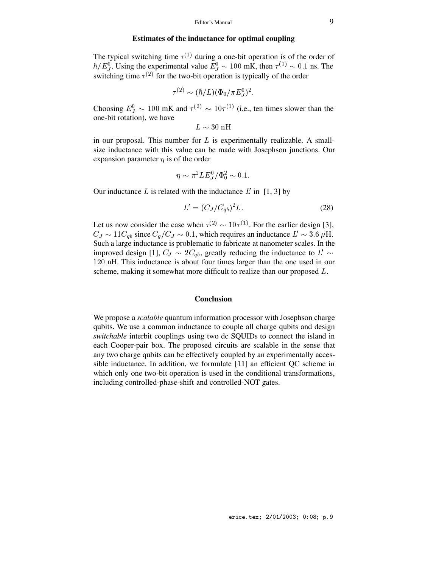### **Estimates of the inductance for optimal coupling**

The typical switching time  $\tau^{(1)}$  during a one-bit operation is of the order of  $\hbar/E_J^0$ . Using the experimental value  $E_J^0 \sim 100$  mK, then  $\tau^{(1)} \sim 0.1$  ns. The switching time  $\tau^{(2)}$  for the two-bit operation is typically of the order

$$
\tau^{(2)} \sim (\hbar/L) (\Phi_0/\pi E_J^0)^2.
$$

Choosing  $E_J^0 \sim 100 \text{ mK}$  and  $\tau^{(2)} \sim 10\tau^{(1)}$  (i.e., ten times slower than the one-bit rotation), we have

$$
L\sim30~\mathrm{nH}
$$

in our proposal. This number for  $L$  is experimentally realizable. A smallsize inductance with this value can be made with Josephson junctions. Our expansion parameter  $\eta$  is of the order

$$
\eta \sim \pi^2 L E_J^0 / \Phi_0^2 \sim 0.1.
$$

Our inductance  $L$  is related with the inductance  $L'$  in [1, 3] by

$$
L' = (C_J/C_{ab})^2 L.
$$
 (28)

Let us now consider the case when  $\tau^{(2)} \sim 10\tau^{(1)}$ . For the earlier design [3],  $C_J \sim 11 C_{ab}$  since  $C_q/C_J \sim 0.1$ , which requires an inductance  $L' \sim 3.6 \mu$ H. Such a large inductance is problematic to fabricate at nanometer scales. In the improved design [1],  $C_J \sim 2C_{ab}$ , greatly reducing the inductance to  $L' \sim$ 120 nH. This inductance is about four times larger than the one used in our scheme, making it somewhat more difficult to realize than our proposed L.

### **Conclusion**

We propose a *scalable* quantum information processor with Josephson charge qubits. We use a common inductance to couple all charge qubits and design *switchable* interbit couplings using two dc SQUIDs to connect the island in each Cooper-pair box. The proposed circuits are scalable in the sense that any two charge qubits can be effectively coupled by an experimentally accessible inductance. In addition, we formulate [11] an efficient QC scheme in which only one two-bit operation is used in the conditional transformations, including controlled-phase-shift and controlled-NOT gates.